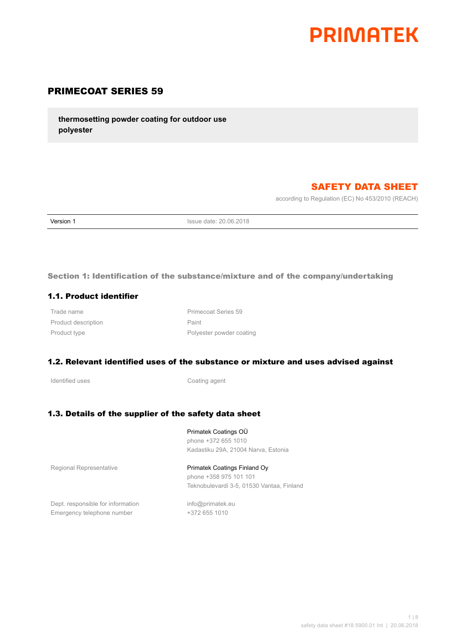

# PRIMECOAT SERIES 59

**thermosetting powder coating for outdoor use polyester**

# SAFETY DATA SHEET

according to Regulation (EC) No 453/2010 (REACH)

**Version 1 ISSUE date: 20.06.2018** 

Section 1: Identification of the substance/mixture and of the company/undertaking

#### 1.1. Product identifier

Trade name **Primecoat Series** 59 Product description **Paint** 

Product type **Polyester powder coating** 

#### 1.2. Relevant identified uses of the substance or mixture and uses advised against

Identified uses **Coating agent** 

### 1.3. Details of the supplier of the safety data sheet

Primatek Coatings OÜ phone +372 655 1010 Kadastiku 29A, 21004 Narva, Estonia

Regional Representative **Primatek Coatings Finland Oy** 

phone +358 975 101 101 Teknobulevardi 3-5, 01530 Vantaa, Finland

Dept. responsible for information info@primatek.eu Emergency telephone number +372 655 1010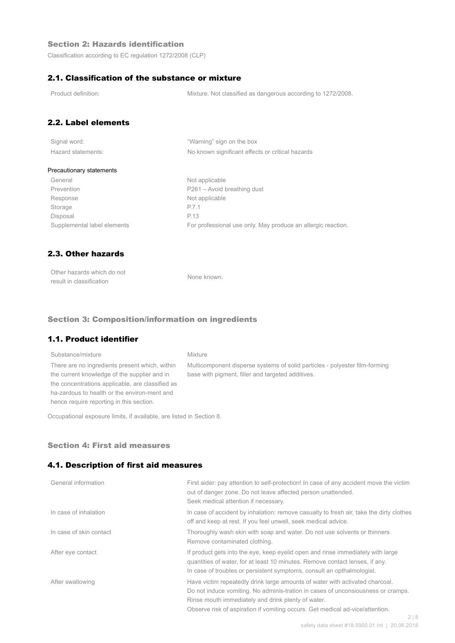### Section 2: Hazards identification

Classification according to EC regulation 1272/2008 (CLP)

### 2.1. Classification of the substance or mixture

Product definition: Mixture. Not classified as dangerous according to 1272/2008.

### 2.2. Label elements

| Signal word:       |  |
|--------------------|--|
| Hazard statements: |  |

"Warning" sign on the box No known significant effects or critical hazards

#### Precautionary statements

General Not applicable Prevention Prevention P261 – Avoid breathing dust Response Not applicable Storage P.7.1 Disposal P.13

Supplemental label elements For professional use only. May produce an allergic reaction.

### 2.3. Other hazards

| Other hazards which do not | None known. |
|----------------------------|-------------|
| result in classification   |             |

#### Section 3: Composition/information on ingredients

### 1.1. Product identifier

### Substance/mixture Mixture There are no ingredients present which, within the current knowledge of the supplier and in the concentrations applicable, are classified as ha-zardous to health or the environ-ment and hence require reporting in this section.

Multicomponent disperse systems of solid particles - polyester film-forming base with pigment, filler and targeted additives.

Occupational exposure limits, if available, are listed in Section 8.

#### Section 4: First aid measures

#### 4.1. Description of first aid measures

| General information     | First aider: pay attention to self-protection! In case of any accident move the victim<br>out of danger zone. Do not leave affected person unattended.<br>Seek medical attention if necessary.                                                                                                                      |
|-------------------------|---------------------------------------------------------------------------------------------------------------------------------------------------------------------------------------------------------------------------------------------------------------------------------------------------------------------|
| In case of inhalation   | In case of accident by inhalation: remove casualty to fresh air, take the dirty clothes<br>off and keep at rest. If you feel unwell, seek medical advice.                                                                                                                                                           |
| In case of skin contact | Thoroughly wash skin with soap and water. Do not use solvents or thinners.<br>Remove contaminated clothing.                                                                                                                                                                                                         |
| After eye contact       | If product gets into the eye, keep eyelid open and rinse immediately with large<br>quantities of water, for at least 10 minutes. Remove contact lenses, if any.<br>In case of troubles or persistent symptoms, consult an opthalmologist.                                                                           |
| After swallowing        | Have victim repeatedly drink large amounts of water with activated charcoal.<br>Do not induce vomiting. No adminis-tration in cases of unconsiousness or cramps.<br>Rinse mouth immediately and drink plenty of water.<br>Observe risk of aspiration if vomiting occurs. Get medical ad-vice/attention.<br>$\cap$ 1 |
|                         |                                                                                                                                                                                                                                                                                                                     |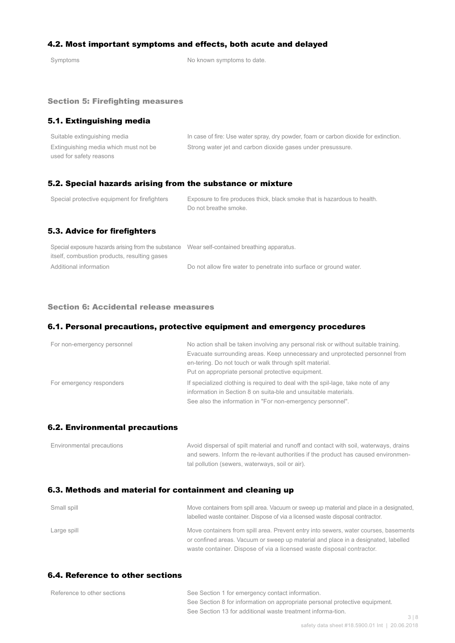### 4.2. Most important symptoms and effects, both acute and delayed

Symptoms Symptoms of the Symptoms to date.

#### Section 5: Firefighting measures

### 5.1. Extinguishing media

| Suitable extinguishing media          | In case of fire: Use water spray, dry powder, foam or carbon dioxide for extinction. |
|---------------------------------------|--------------------------------------------------------------------------------------|
| Extinguishing media which must not be | Strong water jet and carbon dioxide gases under presussure.                          |
| used for safety reasons               |                                                                                      |

#### 5.2. Special hazards arising from the substance or mixture

| Special protective equipment for firefighters | Exposure to fire produces thick, black smoke that is hazardous to health.<br>Do not breathe smoke. |
|-----------------------------------------------|----------------------------------------------------------------------------------------------------|
| 5.3. Advice for firefighters                  |                                                                                                    |

| Special exposure hazards arising from the substance Wear self-contained breathing apparatus. |                                                                    |
|----------------------------------------------------------------------------------------------|--------------------------------------------------------------------|
| itself, combustion products, resulting gases                                                 |                                                                    |
| Additional information                                                                       | Do not allow fire water to penetrate into surface or ground water. |

#### Section 6: Accidental release measures

#### 6.1. Personal precautions, protective equipment and emergency procedures

| For non-emergency personnel | No action shall be taken involving any personal risk or without suitable training.<br>Evacuate surrounding areas. Keep unnecessary and unprotected personnel from<br>en-tering. Do not touch or walk through spilt material.<br>Put on appropriate personal protective equipment. |
|-----------------------------|-----------------------------------------------------------------------------------------------------------------------------------------------------------------------------------------------------------------------------------------------------------------------------------|
| For emergency responders    | If specialized clothing is required to deal with the spil-lage, take note of any<br>information in Section 8 on suita-ble and unsuitable materials.<br>See also the information in "For non-emergency personnel".                                                                 |

#### 6.2. Environmental precautions

| Environmental precautions | Avoid dispersal of spilt material and runoff and contact with soil, waterways, drains |
|---------------------------|---------------------------------------------------------------------------------------|
|                           | and sewers. Inform the re-levant authorities if the product has caused environmen-    |
|                           | tal pollution (sewers, waterways, soil or air).                                       |

### 6.3. Methods and material for containment and cleaning up

| Small spill | Move containers from spill area. Vacuum or sweep up material and place in a designated.<br>labelled waste container. Dispose of via a licensed waste disposal contractor.  |
|-------------|----------------------------------------------------------------------------------------------------------------------------------------------------------------------------|
| Large spill | Move containers from spill area. Prevent entry into sewers, water courses, basements<br>or confined areas. Vacuum or sweep up material and place in a designated, labelled |
|             | waste container. Dispose of via a licensed waste disposal contractor.                                                                                                      |

### 6.4. Reference to other sections

| Reference to other sections | See Section 1 for emergency contact information.                            |     |
|-----------------------------|-----------------------------------------------------------------------------|-----|
|                             | See Section 8 for information on appropriate personal protective equipment. |     |
|                             | See Section 13 for additional waste treatment informa-tion.                 |     |
|                             |                                                                             | 318 |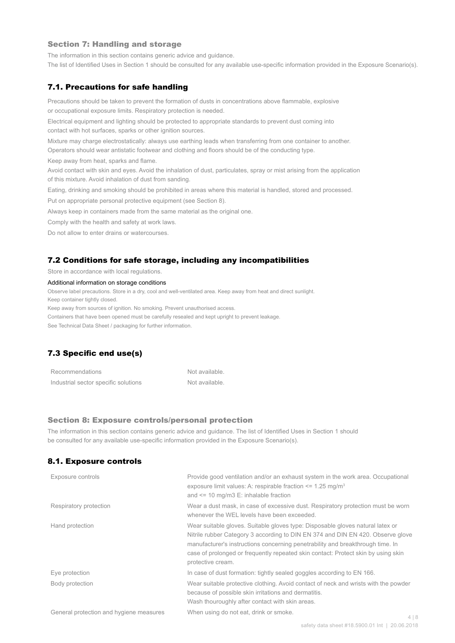#### Section 7: Handling and storage

The information in this section contains generic advice and guidance.

The list of Identified Uses in Section 1 should be consulted for any available use-specific information provided in the Exposure Scenario(s).

#### 7.1. Precautions for safe handling

Precautions should be taken to prevent the formation of dusts in concentrations above flammable, explosive or occupational exposure limits. Respiratory protection is needed.

Electrical equipment and lighting should be protected to appropriate standards to prevent dust coming into contact with hot surfaces, sparks or other ignition sources.

Mixture may charge electrostatically: always use earthing leads when transferring from one container to another.

Operators should wear antistatic footwear and clothing and floors should be of the conducting type.

Keep away from heat, sparks and flame.

Avoid contact with skin and eyes. Avoid the inhalation of dust, particulates, spray or mist arising from the application of this mixture. Avoid inhalation of dust from sanding.

Eating, drinking and smoking should be prohibited in areas where this material is handled, stored and processed.

Put on appropriate personal protective equipment (see Section 8).

Always keep in containers made from the same material as the original one.

Comply with the health and safety at work laws.

Do not allow to enter drains or watercourses.

#### 7.2 Conditions for safe storage, including any incompatibilities

Store in accordance with local regulations.

#### Additional information on storage conditions

Observe label precautions. Store in a dry, cool and well-ventilated area. Keep away from heat and direct sunlight.

Keep container tightly closed.

Keep away from sources of ignition. No smoking. Prevent unauthorised access.

Containers that have been opened must be carefully resealed and kept upright to prevent leakage.

See Technical Data Sheet / packaging for further information.

## 7.3 Specific end use(s)

| Recommendations                      | Not available. |
|--------------------------------------|----------------|
| Industrial sector specific solutions | Not available. |

#### Section 8: Exposure controls/personal protection

The information in this section contains generic advice and guidance. The list of Identified Uses in Section 1 should be consulted for any available use-specific information provided in the Exposure Scenario(s).

#### 8.1. Exposure controls

| Exposure controls                       | Provide good ventilation and/or an exhaust system in the work area. Occupational<br>exposure limit values: A: respirable fraction $\leq$ 1.25 mg/m <sup>3</sup><br>and $\le$ 10 mg/m3 E: inhalable fraction                                                                                                                                                   |       |
|-----------------------------------------|---------------------------------------------------------------------------------------------------------------------------------------------------------------------------------------------------------------------------------------------------------------------------------------------------------------------------------------------------------------|-------|
| Respiratory protection                  | Wear a dust mask, in case of excessive dust. Respiratory protection must be worn<br>whenever the WEL levels have been exceeded.                                                                                                                                                                                                                               |       |
| Hand protection                         | Wear suitable gloves. Suitable gloves type: Disposable gloves natural latex or<br>Nitrile rubber Category 3 according to DIN EN 374 and DIN EN 420. Observe glove<br>manufacturer's instructions concerning penetrability and breakthrough time. In<br>case of prolonged or frequently repeated skin contact: Protect skin by using skin<br>protective cream. |       |
| Eye protection                          | In case of dust formation: tightly sealed goggles according to EN 166.                                                                                                                                                                                                                                                                                        |       |
| Body protection                         | Wear suitable protective clothing. Avoid contact of neck and wrists with the powder<br>because of possible skin irritations and dermatitis.<br>Wash thouroughly after contact with skin areas.                                                                                                                                                                |       |
| General protection and hygiene measures | When using do not eat, drink or smoke.                                                                                                                                                                                                                                                                                                                        | 4   8 |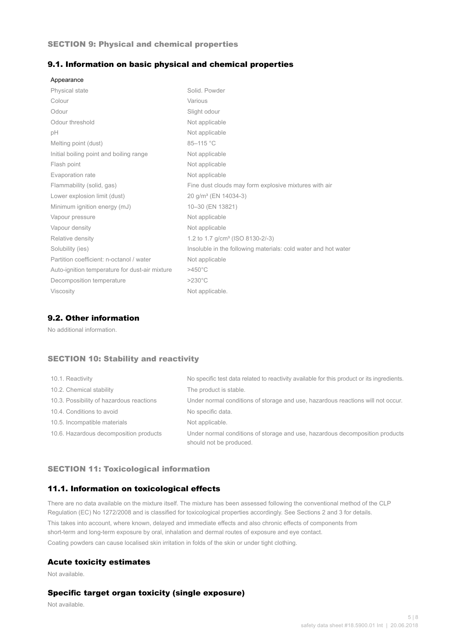#### SECTION 9: Physical and chemical properties

#### 9.1. Information on basic physical and chemical properties

| Appearance                                     |                                                                |
|------------------------------------------------|----------------------------------------------------------------|
| <b>Physical state</b>                          | Solid, Powder                                                  |
| Colour                                         | Various                                                        |
| Odour                                          | Slight odour                                                   |
| Odour threshold                                | Not applicable                                                 |
| рH                                             | Not applicable                                                 |
| Melting point (dust)                           | 85-115 °C                                                      |
| Initial boiling point and boiling range        | Not applicable                                                 |
| Flash point                                    | Not applicable                                                 |
| Evaporation rate                               | Not applicable                                                 |
| Flammability (solid, gas)                      | Fine dust clouds may form explosive mixtures with air          |
| Lower explosion limit (dust)                   | 20 g/m <sup>3</sup> (EN 14034-3)                               |
| Minimum ignition energy (mJ)                   | 10-30 (EN 13821)                                               |
| Vapour pressure                                | Not applicable                                                 |
| Vapour density                                 | Not applicable                                                 |
| Relative density                               | 1.2 to 1.7 g/cm <sup>3</sup> (ISO 8130-2/-3)                   |
| Solubility (ies)                               | Insoluble in the following materials: cold water and hot water |
| Partition coefficient: n-octanol / water       | Not applicable                                                 |
| Auto-ignition temperature for dust-air mixture | $>450^{\circ}$ C                                               |
| Decomposition temperature                      | $>230^{\circ}$ C                                               |
| <b>Viscosity</b>                               | Not applicable.                                                |

### 9.2. Other information

No additional information.

### SECTION 10: Stability and reactivity

| 10.1. Reactivity                         | No specific test data related to reactivity available for this product or its ingredients.              |
|------------------------------------------|---------------------------------------------------------------------------------------------------------|
| 10.2. Chemical stability                 | The product is stable.                                                                                  |
| 10.3. Possibility of hazardous reactions | Under normal conditions of storage and use, hazardous reactions will not occur.                         |
| 10.4. Conditions to avoid                | No specific data.                                                                                       |
| 10.5. Incompatible materials             | Not applicable.                                                                                         |
| 10.6. Hazardous decomposition products   | Under normal conditions of storage and use, hazardous decomposition products<br>should not be produced. |

#### SECTION 11: Toxicological information

### 11.1. Information on toxicological effects

There are no data available on the mixture itself. The mixture has been assessed following the conventional method of the CLP Regulation (EC) No 1272/2008 and is classified for toxicological properties accordingly. See Sections 2 and 3 for details. This takes into account, where known, delayed and immediate effects and also chronic effects of components from short-term and long-term exposure by oral, inhalation and dermal routes of exposure and eye contact. Coating powders can cause localised skin irritation in folds of the skin or under tight clothing.

#### Acute toxicity estimates

Not available.

### Specific target organ toxicity (single exposure)

Not available.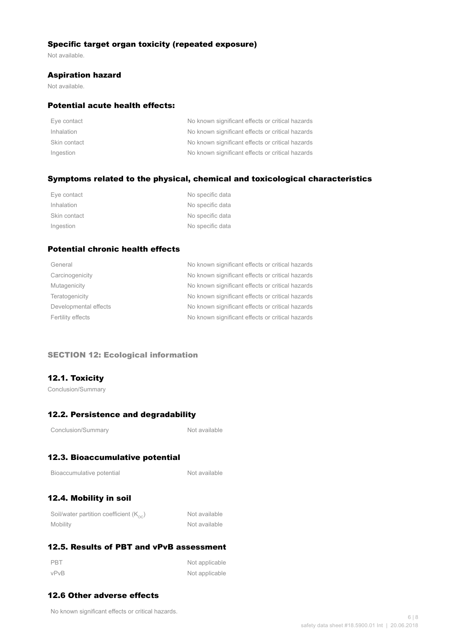### Specific target organ toxicity (repeated exposure)

Not available.

#### Aspiration hazard

Not available.

#### Potential acute health effects:

| Eye contact  | No known significant effects or critical hazards |
|--------------|--------------------------------------------------|
| Inhalation   | No known significant effects or critical hazards |
| Skin contact | No known significant effects or critical hazards |
| Ingestion    | No known significant effects or critical hazards |

### Symptoms related to the physical, chemical and toxicological characteristics

| Eye contact  | No specific data |
|--------------|------------------|
| Inhalation   | No specific data |
| Skin contact | No specific data |
| Ingestion    | No specific data |

## Potential chronic health effects

| General               | No known significant effects or critical hazards |
|-----------------------|--------------------------------------------------|
| Carcinogenicity       | No known significant effects or critical hazards |
| Mutagenicity          | No known significant effects or critical hazards |
| Teratogenicity        | No known significant effects or critical hazards |
| Developmental effects | No known significant effects or critical hazards |
| Fertility effects     | No known significant effects or critical hazards |
|                       |                                                  |

#### SECTION 12: Ecological information

### 12.1. Toxicity

Conclusion/Summary

## 12.2. Persistence and degradability

Not available

# 12.3. Bioaccumulative potential

| Bioaccumulative potential |  |
|---------------------------|--|
|---------------------------|--|

Not available

# 12.4. Mobility in soil

| Soil/water partition coefficient $(K_{\text{oc}})$ | Not available |
|----------------------------------------------------|---------------|
| Mobility                                           | Not available |

## 12.5. Results of PBT and vPvB assessment

| PBT  | Not applicable |
|------|----------------|
| vPvB | Not applicable |

## 12.6 Other adverse effects

No known significant effects or critical hazards.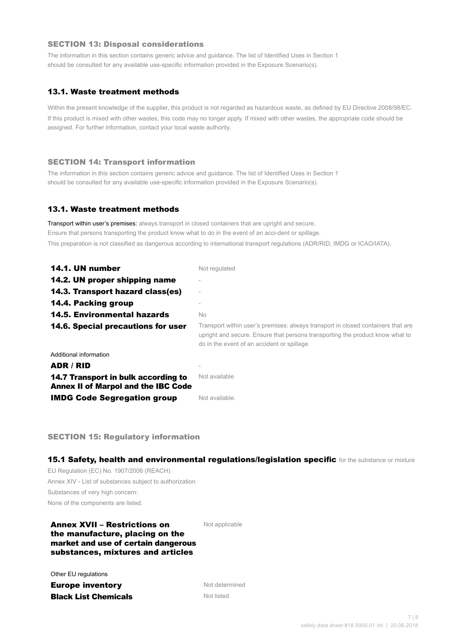#### SECTION 13: Disposal considerations

The information in this section contains generic advice and guidance. The list of Identified Uses in Section 1 should be consulted for any available use-specific information provided in the Exposure Scenario(s).

### 13.1. Waste treatment methods

Within the present knowledge of the supplier, this product is not regarded as hazardous waste, as defined by EU Directive 2008/98/EC. If this product is mixed with other wastes, this code may no longer apply. If mixed with other wastes, the appropriate code should be assigned. For further information, contact your local waste authority.

#### SECTION 14: Transport information

The information in this section contains generic advice and guidance. The list of Identified Uses in Section 1 should be consulted for any available use-specific information provided in the Exposure Scenario(s).

#### 13.1. Waste treatment methods

Transport within user's premises: always transport in closed containers that are upright and secure. Ensure that persons transporting the product know what to do in the event of an acci-dent or spillage. This preparation is not classified as dangerous according to international transport regulations (ADR/RID, IMDG or ICAO/IATA).

| 14.1. UN number                                                                   | Not regulated                                                                                                                                                                                                    |
|-----------------------------------------------------------------------------------|------------------------------------------------------------------------------------------------------------------------------------------------------------------------------------------------------------------|
| 14.2. UN proper shipping name                                                     |                                                                                                                                                                                                                  |
| 14.3. Transport hazard class(es)                                                  |                                                                                                                                                                                                                  |
| 14.4. Packing group                                                               |                                                                                                                                                                                                                  |
| <b>14.5. Environmental hazards</b>                                                | No.                                                                                                                                                                                                              |
| 14.6. Special precautions for user                                                | Transport within user's premises: always transport in closed containers that are<br>upright and secure. Ensure that persons transporting the product know what to<br>do in the event of an accident or spillage. |
| Additional information                                                            |                                                                                                                                                                                                                  |
| ADR / RID                                                                         |                                                                                                                                                                                                                  |
| 14.7 Transport in bulk according to<br><b>Annex II of Marpol and the IBC Code</b> | Not available                                                                                                                                                                                                    |
| <b>IMDG Code Segregation group</b>                                                | Not available.                                                                                                                                                                                                   |

SECTION 15: Regulatory information

15.1 Safety, health and environmental regulations/legislation specific for the substance or mixture

EU Regulation (EC) No. 1907/2006 (REACH) Annex XIV - List of substances subject to authorization Substances of very high concern: None of the components are listed.

#### Annex XVII – Restrictions on the manufacture, placing on the market and use of certain dangerous substances, mixtures and articles

Not applicable

Other EU regulations

**Europe inventory** Not determined **Black List Chemicals** Not listed